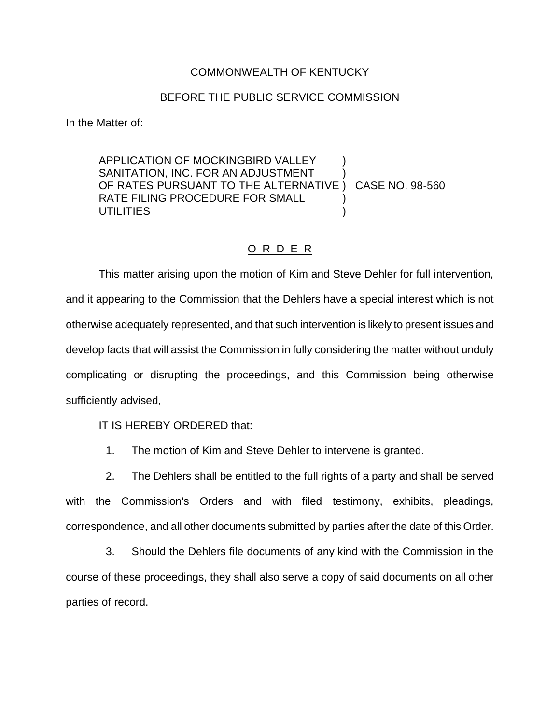## COMMONWEALTH OF KENTUCKY

## BEFORE THE PUBLIC SERVICE COMMISSION

In the Matter of:

APPLICATION OF MOCKINGBIRD VALLEY SANITATION, INC. FOR AN ADJUSTMENT OF RATES PURSUANT TO THE ALTERNATIVE ) CASE NO. 98-560 RATE FILING PROCEDURE FOR SMALL **UTILITIES** 

## O R D E R

This matter arising upon the motion of Kim and Steve Dehler for full intervention, and it appearing to the Commission that the Dehlers have a special interest which is not otherwise adequately represented, and that such intervention is likely to present issues and develop facts that will assist the Commission in fully considering the matter without unduly complicating or disrupting the proceedings, and this Commission being otherwise sufficiently advised,

IT IS HEREBY ORDERED that:

1. The motion of Kim and Steve Dehler to intervene is granted.

2. The Dehlers shall be entitled to the full rights of a party and shall be served with the Commission's Orders and with filed testimony, exhibits, pleadings, correspondence, and all other documents submitted by parties after the date of this Order.

3. Should the Dehlers file documents of any kind with the Commission in the course of these proceedings, they shall also serve a copy of said documents on all other parties of record.